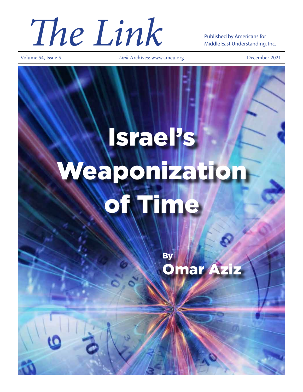**The Link Archives: www.ameu.org Published by Americans for Middle East Understanding, Inc.**<br>Volume 54, Issue 5<br>December 2021

Middle East Understanding, Inc.

*Link* Archives: www.ameu.org

# Israel's Weaponization of Time

**By** Omar Aziz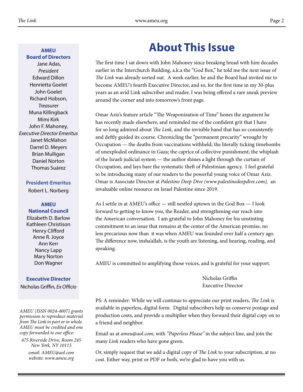#### **AMEU Board of Directors**

Jane Adas, *President* Edward Dillon Henrietta Goelet John Goelet Richard Hobson, *Treasurer* Muna Killingback Mimi Kirk John F. Mahoney, *Executive Director Emeritus* Janet McMahon Darrel D. Meyers Brian Mulligan Daniel Norton Thomas Suárez

#### **President-Emeritus**

Robert L. Norberg

#### **AMEU National Council**

Elizabeth D. Barlow Kathleen Christison Henry Clifford Anne R. Joyce Ann Kerr Nancy Lapp Mary Norton Don Wagner

#### **Executive Director**

Nicholas Griffin, *Ex Officio*

*AMEU (ISSN 0024-4007) grants permission to reproduce material from The Link in part or in whole. AMEU must be credited and one copy forwarded to our office:*

*475 Riverside Drive, Room 245 New York, NY 10115 email: AMEU@aol.com website: www.ameu.org*

# **About This Issue**

The first time I sat down with John Mahoney since breaking bread with him decades earlier in the Interchurch Building, a.k.a the "God Box," he told me the next issue of *The Link* was already sorted out. A week earlier, he and the Board had invited me to become AMEU's fourth Executive Director, and so, for the first time in my 30-plus years as an avid Link subscriber and reader, I was being offered a rare sneak preview around the corner and into tomorrow's front page.

Omar Aziz's feature article "The Weaponization of Time" hones the argument he has recently made elsewhere, and reminded me of the confident grit that I have for so long admired about *The Link*, and the invisible hand that has so consistently and deftly guided its course. Chronicling the "permanent precarity" wrought by Occupation — the deaths from vaccinations withheld; the literally ticking timebombs of unexploded ordinance in Gaza; the caprice of collective punishment; the whiplash of the Israeli judicial system — the author shines a light through the curtain of Occupation, and lays bare the systematic theft of Palestinian agency. I feel grateful to be introducing many of our readers to the powerful young voice of Omar Aziz. Omar is Associate Director at *Palestine Deep Dive (www.palestinedeepdive.com),* an invaluable online resource on Israel Palestine since 2019.

As I settle in at AMEU's office — still nestled uptown in the God Box — I look forward to getting to know you, the Reader, and strengthening our reach into the American conversation. I am grateful to John Mahoney for his unstinting commitment to an issue that remains at the center of the American promise, no less precarious now than it was when AMEU was founded over half a century ago. The difference now, insha'allah, is the youth are listening, and hearing, reading, and speaking.

AMEU is committed to amplifying those voices, and is grateful for your support.

Nicholas Griffin Executive Director

PS: A reminder: While we will continue to appreciate our print readers, *The Link* is available in paperless, digital form. Digital subscribers help us conserve postage and production costs, and provide a multiplier when they forward their digital copy on to a friend and neighbor.

Email us at *ameu@aol.com*, with *"Paperless Please"* in the subject line, and join the many *Link* readers who have gone green.

Or, simply request that we add a digital copy of *The Link* to your subscription, at no cost. Either way, print or PDF or both, we're glad to have you with us.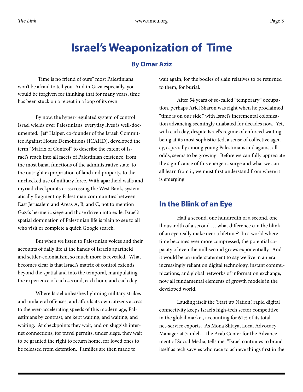# **Israel's Weaponization of Time**

#### **By Omar Aziz**

"Time is no friend of ours" most Palestinians won't be afraid to tell you. And in Gaza especially, you would be forgiven for thinking that for many years, time has been stuck on a repeat in a loop of its own.

By now, the hyper-regulated system of control Israel wields over Palestinians' everyday lives is well-documented. Jeff Halper, co-founder of the Israeli Committee Against House Demolitions (ICAHD), developed the term "Matrix of Control" to describe the extent of Israel's reach into all facets of Palestinian existence, from the most banal functions of the administrative state, to the outright expropriation of land and property, to the unchecked use of military force. With apartheid walls and myriad checkpoints crisscrossing the West Bank, systematically fragmenting Palestinian communities between East Jerusalem and Areas A, B, and C, not to mention Gaza's hermetic siege and those driven into exile, Israel's spatial domination of Palestinian life is plain to see to all who visit or complete a quick Google search.

But when we listen to Palestinian voices and their accounts of daily life at the hands of Israel's apartheid and settler-colonialism, so much more is revealed. What becomes clear is that Israel's matrix of control extends beyond the spatial and into the temporal, manipulating the experience of each second, each hour, and each day.

Where Israel unleashes lightning military strikes and unilateral offenses, and affords its own citizens access to the ever-accelerating speeds of this modern age, Palestinians by contrast, are kept waiting, and waiting, and waiting. At checkpoints they wait, and on sluggish internet connections, for travel permits, under siege, they wait to be granted the right to return home, for loved ones to be released from detention. Families are then made to

wait again, for the bodies of slain relatives to be returned to them, for burial.

After 54 years of so-called "temporary" occupation, perhaps Ariel Sharon was right when he proclaimed, "time is on our side," with Israel's incremental colonization advancing seemingly unabated for decades now. Yet, with each day, despite Israel's regime of enforced waiting being at its most sophisticated, a sense of collective agency, especially among young Palestinians and against all odds, seems to be growing. Before we can fully appreciate the significance of this energetic surge and what we can all learn from it, we must first understand from where it is emerging.

#### **In the Blink of an Eye**

Half a second, one hundredth of a second, one thousandth of a second … what difference can the blink of an eye really make over a lifetime? In a world where time becomes ever more compressed, the potential capacity of even the millisecond grows exponentially. And it would be an understatement to say we live in an era increasingly reliant on digital technology, instant communications, and global networks of information exchange, now all fundamental elements of growth models in the developed world.

Lauding itself the 'Start up Nation,' rapid digital connectivity keeps Israel's high-tech sector competitive in the global market, accounting for 61% of its total net-service exports. As Mona Shtaya, Local Advocacy Manager at 7amleh – the Arab Center for the Advancement of Social Media, tells me, "Israel continues to brand itself as tech savvies who race to achieve things first in the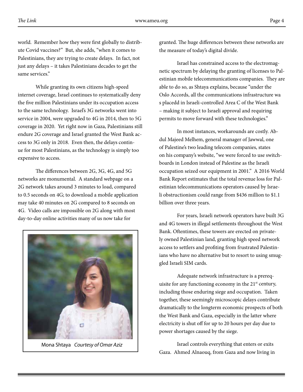world. Remember how they were first globally to distribute Covid vaccines?" But, she adds, "when it comes to Palestinians, they are trying to create delays. In fact, not just any delays – it takes Palestinians decades to get the same services."

While granting its own citizens high-speed internet coverage, Israel continues to systematically deny the five million Palestinians under its occupation access to the same technology. Israel's 3G networks went into service in 2004, were upgraded to 4G in 2014, then to 5G coverage in 2020. Yet right now in Gaza, Palestinians still endure 2G coverage and Israel granted the West Bank access to 3G only in 2018. Even then, the delays continue for most Palestinians, as the technology is simply too expensive to access.

The differences between 2G, 3G, 4G, and 5G networks are monumental. A standard webpage on a 2G network takes around 3 minutes to load, compared to 0.5 seconds on 4G; to download a mobile application may take 40 minutes on 2G compared to 8 seconds on 4G. Video calls are impossible on 2G along with most day-to-day online activities many of us now take for



Mona Shtaya *Courtesy of Omar Aziz*

granted. The huge differences between these networks are the measure of today's digital divide.

Israel has constrained access to the electromagnetic spectrum by delaying the granting of licenses to Palestinian mobile telecommunications companies. They are able to do so, as Shtaya explains, because "under the Oslo Accords, all the communications infrastructure wa s placedd in Israeli-controlled Area C of the West Bank – making it subject to Israeli approval and requiring permits to move forward with these technologies."

In most instances, workarounds are costly. Abdul Majeed Melhem, general manager of Jawwal, one of Palestine's two leading telecom companies, states on his company's website, "we were forced to use switchboards in London instead of Palestine as the Israeli occupation seized our equipment in 2001." A 2016 World Bank Report estimates that the total revenue loss for Palestinian telecommunications operators caused by Israeli obstructionism could range from \$436 million to \$1.1 billion over three years.

For years, Israeli network operators have built 3G and 4G towers in illegal settlements throughout the West Bank. Oftentimes, these towers are erected on privately owned Palestinian land, granting high speed network access to settlers and profiting from frustrated Palestinians who have no alternative but to resort to using smuggled Israeli SIM cards.

Adequate network infrastructure is a prerequisite for any functioning economy in the 21<sup>st</sup> century, including those enduring siege and occupation. Taken together, these seemingly microscopic delays contribute dramatically to the longterm economic prospects of both the West Bank and Gaza, especially in the latter where electricity is shut off for up to 20 hours per day due to power shortages caused by the siege.

Israel controls everything that enters or exits Gaza. Ahmed Alnaouq, from Gaza and now living in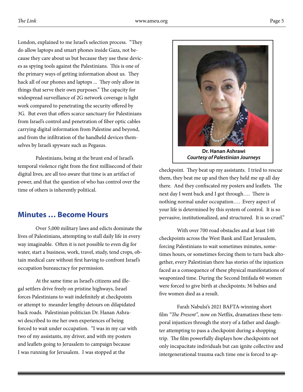London, explained to me Israel's selection process. "They do allow laptops and smart phones inside Gaza, not because they care about us but because they use these devices as spying tools against the Palestinians. This is one of the primary ways of getting information about us. They hack all of our phones and laptops ... They only allow in things that serve their own purposes." The capacity for widespread surveillance of 2G network coverage is light work compared to penetrating the security offered by 3G. But even that offers scarce sanctuary for Palestinians from Israel's control and penetration of fiber optic cables carrying digital information from Palestine and beyond, and from the infiltration of the handheld devices themselves by Israeli spyware such as Pegasus.

Palestinians, being at the brunt end of Israel's temporal violence right from the first millisecond of their digital lives, are all too aware that time is an artifact of power, and that the question of who has control over the time of others is inherently political.

#### **Minutes … Become Hours**

Over 5,000 military laws and edicts dominate the lives of Palestinians, attempting to stall daily life in every way imaginable. Often it is not possible to even dig for water, start a business, work, travel, study, tend crops, obtain medical care without first having to confront Israel's occupation bureaucracy for permission.

At the same time as Israel's citizens and illegal settlers drive freely on pristine highways, Israel forces Palestinians to wait indefinitely at checkpoints or attempt to meander lengthy detours on dilapidated back roads. Palestinian politician Dr. Hanan Ashrawi described to me her own experiences of being forced to wait under occupation. "I was in my car with two of my assistants, my driver, and with my posters and leaflets going to Jerusalem to campaign because I was running for Jerusalem. I was stopped at the



checkpoint. They beat up my assistants. I tried to rescue them, they beat me up and then they held me up all day there. And they confiscated my posters and leaflets. The next day I went back and I got through…. There is nothing normal under occupation…. Every aspect of your life is determined by this system of control. It is so pervasive, institutionalized, and structured. It is so cruel."

With over 700 road obstacles and at least 140 checkpoints across the West Bank and East Jerusalem, forcing Palestinians to wait sometimes minutes, sometimes hours, or sometimes forcing them to turn back altogether, every Palestinian there has stories of the injustices faced as a consequence of these physical manifestations of weaponized time. During the Second Intifada 60 women were forced to give birth at checkpoints; 36 babies and five women died as a result.

Farah Nabulsi's 2021 BAFTA-winning short film *"The Present",* now on Netflix, dramatizes these temporal injustices through the story of a father and daughter attempting to pass a checkpoint during a shopping trip. The film powerfully displays how checkpoints not only incapacitate individuals but can ignite collective and intergenerational trauma each time one is forced to ap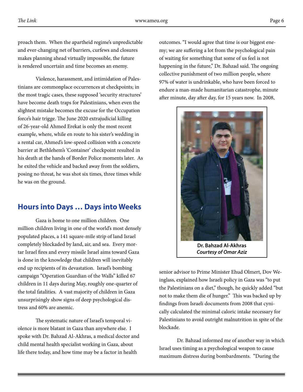proach them. When the apartheid regime's unpredictable and ever-changing net of barriers, curfews and closures makes planning ahead virtually impossible, the future is rendered uncertain and time becomes an enemy.

Violence, harassment, and intimidation of Palestinians are commonplace occurrences at checkpoints; in the most tragic cases, these supposed 'security structures' have become death traps for Palestinians, when even the slightest mistake becomes the excuse for the Occupation force's hair trigge. The June 2020 extrajudicial killing of 26-year-old Ahmed Erekat is only the most recent example, where, while en route to his sister's wedding in a rental car, Ahmed's low-speed collision with a concrete barrier at Bethlehem's 'Container' checkpoint resulted in his death at the hands of Border Police moments later. As he exited the vehicle and backed away from the soldiers, posing no threat, he was shot six times, three times while he was on the ground.

## **Hours into Days … Days into Weeks**

Gaza is home to one million children. One million children living in one of the world's most densely populated places, a 141 square-mile strip of land Israel completely blockaded by land, air, and sea. Every mortar Israel fires and every missile Israel aims toward Gaza is done in the knowledge that children will inevitably end up recipients of its devastation. Israel's bombing campaign "Operation Guardian of the Walls" killed 67 children in 11 days during May, roughly one-quarter of the total fatalities. A vast majority of children in Gaza unsurprisingly show signs of deep psychological distress and 60% are anemic.

The systematic nature of Israel's temporal violence is more blatant in Gaza than anywhere else. I spoke with Dr. Bahzad Al-Akhras, a medical doctor and child mental health specialist working in Gaza, about life there today, and how time may be a factor in health

outcomes. "I would agree that time is our biggest enemy; we are suffering a lot from the psychological pain of waiting for something that some of us feel is not happening in the future," Dr. Bahzad said. The ongoing collective punishment of two million people, where 97% of water is undrinkable, who have been forced to endure a man-made humanitarian catastrophe, minute after minute, day after day, for 15 years now. In 2008,



**Dr. Bahzad Al-Akhras** *Courtesy of Omar Aziz*

senior advisor to Prime Minister Ehud Olmert, Dov Weinglass, explained how Israeli policy in Gaza was "to put the Palestinians on a diet," though, he quickly added "but not to make them die of hunger." This was backed up by findings from Israeli documents from 2008 that cynically calculated the minimal caloric intake necessary for Palestinians to avoid outright malnutrition in spite of the blockade.

Dr. Bahzad informed me of another way in which Israel uses timing as a psychological weapon to cause maximum distress during bombardments. "During the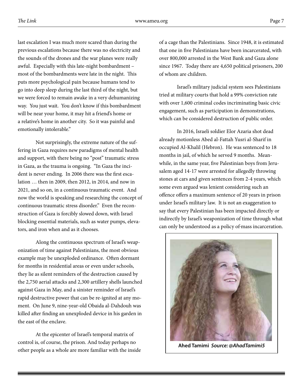last escalation I was much more scared than during the previous escalations because there was no electricity and the sounds of the drones and the war planes were really awful. Especially with this late-night bombardment – most of the bombardments were late in the night. This puts more psychological pain because humans tend to go into deep sleep during the last third of the night, but we were forced to remain awake in a very dehumanizing way. You just wait. You don't know if this bombardment

will be near your home, it may hit a friend's home or a relative's home in another city. So it was painful and emotionally intolerable."

Not surprisingly, the extreme nature of the suffering in Gaza requires new paradigms of mental health and support, with there being no "post" traumatic stress in Gaza, as the trauma is ongoing. "In Gaza the incident is never ending. In 2006 there was the first escalation … then in 2009, then 2012, in 2014, and now in 2021, and so on, in a continuous traumatic event. And now the world is speaking and researching the concept of continuous traumatic stress disorder." Even the reconstruction of Gaza is forcibly slowed down, with Israel blocking essential materials, such as water pumps, elevators, and iron when and as it chooses.

Along the continuous spectrum of Israel's weaponization of time against Palestinians, the most obvious example may be unexploded ordinance. Often dormant for months in residential areas or even under schools, they lie as silent reminders of the destruction caused by the 2,750 aerial attacks and 2,300 artillery shells launched against Gaza in May, and a sinister reminder of Israel's rapid destructive power that can be re-ignited at any moment. On June 9, nine-year-old Obaida al-Dahdouh was killed after finding an unexploded device in his garden in the east of the enclave.

At the epicenter of Israel's temporal matrix of control is, of course, the prison. And today perhaps no other people as a whole are more familiar with the inside of a cage than the Palestinians. Since 1948, it is estimated that one in five Palestinians have been incarcerated, with over 800,000 arrested in the West Bank and Gaza alone since 1967. Today there are 4,650 political prisoners, 200 of whom are children.

Israel's military judicial system sees Palestinians tried at military courts that hold a 99% conviction rate with over 1,600 criminal codes incriminating basic civic engagement, such as participation in demonstrations, which can be considered destruction of public order.

In 2016, Israeli soldier Elor Azaria shot dead already motionless Abed al-Fattah Yusri al-Sharif in occupied Al-Khalil (Hebron). He was sentenced to 18 months in jail, of which he served 9 months. Meanwhile, in the same year, five Palestinian boys from Jerusalem aged 14-17 were arrested for allegedly throwing stones at cars and given sentences from 2-4 years, which some even argued was lenient considering such an offence offers a maximum sentence of 20 years in prison under Israel's military law. It is not an exaggeration to say that every Palestinian has been impacted directly or indirectly by Israel's weaponization of time through what can only be understood as a policy of mass incarceration.



**Ahed Tamimi** *Source: @AhadTamimi5*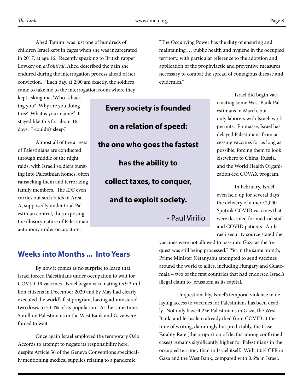Ahed Tamimi was just one of hundreds of children Israel kept in cages when she was incarcerated in 2017, at age 16. Recently speaking to British rapper Lowkey on *a/Political*, Ahed described the pain she endured during the interrogation process ahead of her conviction. "Each day, at 2:00 am exactly, the soldiers came to take me to the interrogation room where they

kept asking me, 'Who is backing you? Why are you doing this? What is your name?' It stayed like this for about 16 days. I couldn't sleep."

Almost all of the arrests of Palestinians are conducted through middle of the night raids, with Israeli soldiers bursting into Palestinian homes, often ransacking them and terrorizing family members. The IDF even carries out such raids in Area A, supposedly under total Palestinian control, thus exposing the illusory nature of Palestinian autonomy under occupation.

**Every society is founded on a relation of speed: the one who goes the fastest has the ability to collect taxes, to conquer, and to exploit society.** - Paul Virilio

"The Occupying Power has the duty of ensuring and maintaining … public health and hygiene in the occupied territory, with particular reference to the adoption and application of the prophylactic and preventive measures necessary to combat the spread of contagious disease and epidemics."

> Israel did begin vaccinating some West Bank Palestinians in March, but only laborers with Israeli work permits. En masse, Israel has delayed Palestinians from accessing vaccines for as long as possible, forcing them to look elsewhere to China, Russia, and the World Health Organization-led COVAX program.

> In February, Israel even held up for several days the delivery of a mere 2,000 Sputnik COVID vaccines that were destined for medical staff and COVID patients. An Israeli security source stated the

## **Weeks into Months ... Into Years**

By now it comes as no surprise to learn that Israel forced Palestinians under occupation to wait for COVID-19 vaccines. Israel began vaccinating its 9.3 million citizens in December 2020 and by May had clearly executed the world's fast program, having administered two doses to 54.4% of its population. At the same time, 5 million Palestinians in the West Bank and Gaza were forced to wait.

Once again Israel employed the temporary Oslo Accords to attempt to negate its responsibility here, despite Article 56 of the Geneva Conventions specifically mentioning medical supplies relating to a pandemic:

vaccines were not allowed to pass into Gaza as the 'request was still being processed." Yet in the same month, Prime Minister Netanyahu attempted to send vaccines around the world to allies, including Hungary and Guatemala – two of the first countries that had endorsed Israel's illegal claim to Jerusalem as its capital.

Unquestionably, Israel's temporal violence in delaying access to vaccines for Palestinians has been deadly. Not only have 4,236 Palestinians in Gaza, the West Bank, and Jerusalem already died from COVID at the time of writing, damningly but predictably, the Case Fatality Rate (the proportion of deaths among confirmed cases) remains significantly higher for Palestinians in the occupied territory than in Israel itself. With 1.0% CFR in Gaza and the West Bank, compared with 0.6% in Israel,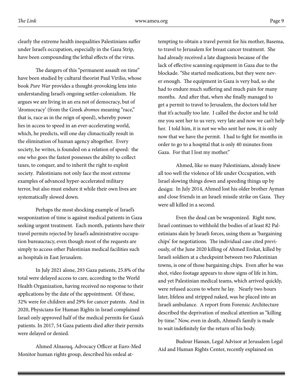clearly the extreme health inequalities Palestinians suffer under Israel's occupation, especially in the Gaza Strip, have been compounding the lethal effects of the virus.

The dangers of this "permanent assault on time" have been studied by cultural theorist Paul Virilio, whose book *Pure War* provides a thought-provoking lens into understanding Israel's ongoing settler-colonialism. He argues we are living in an era not of democracy, but of 'dromocracy' (from the Greek *dromos* meaning "race," that is, race as in the reign of speed), whereby power lies in access to speed in an ever-accelerating world, which, he predicts, will one day climactically result in the elimination of human agency altogether. Every society, he writes, is founded on a relation of speed: the one who goes the fastest possesses the ability to collect taxes, to conquer, and to inherit the right to exploit society. Palestinians not only face the most extreme examples of advanced hyper-accelerated military terror, but also must endure it while their own lives are systematically slowed down.

Perhaps the most shocking example of Israel's weaponization of time is against medical patients in Gaza seeking urgent treatment. Each month, patients have their travel permits rejected by Israel's administrative occupation bureaucracy, even though most of the requests are simply to access other Palestinian medical facilities such as hospitals in East Jerusalem.

In July 2021 alone, 293 Gaza patients, 25.8% of the total were delayed access to care, according to the World Health Organization, having received no response to their applications by the date of the appointment. Of these, 32% were for children and 29% for cancer patents. And in 2020, Physicians for Human Rights in Israel complained Israel only approved half of the medical permits for Gaza's patients. In 2017, 54 Gaza patients died after their permits were delayed or denied.

Ahmed Alnaouq, Advocacy Officer at Euro-Med Monitor human rights group, described his ordeal at-

tempting to obtain a travel permit for his mother, Basema, to travel to Jerusalem for breast cancer treatment. She had already received a late diagnosis because of the lack of effective scanning equipment in Gaza due to the blockade. "She started medications, but they were never enough. The equipment in Gaza is very bad, so she had to endure much suffering and much pain for many months. And after that, when she finally managed to get a permit to travel to Jerusalem, the doctors told her that it's actually too late. I called the doctor and he told me you sent her to us very, very late and now we can't help her. I told him, it is not we who sent her now, it is only now that we have the permit. I had to fight for months in order to go to a hospital that is only 40 minutes from Gaza. For that I lost my mother."

Ahmed, like so many Palestinians, already knew all too well the violence of life under Occupation, with Israel slowing things down and speeding things up by design. In July 2014, Ahmed lost his older brother Ayman and close friends in an Israeli missile strike on Gaza. They were all killed in a second.

Even the dead can be weaponized. Right now, Israel continues to withhold the bodies of at least 82 Palestinians slain by Israeli forces, using them as 'bargaining chips' for negotiations. The individual case cited previously, of the June 2020 killing of Ahmed Erekat, killed by Israeli soldiers at a checkpoint between two Palestinian towns, is one of those bargaining chips. Even after he was shot, video footage appears to show signs of life in him, and yet Palestinian medical teams, which arrived quickly, were refused access to where he lay. Nearly two hours later, lifeless and stripped naked, was he placed into an Israeli ambulance. A report from Forensic Architecture described the deprivation of medical attention as "killing by time." Now, even in death, Ahmed's family is made to wait indefinitely for the return of his body.

Budour Hassan, Legal Advisor at Jerusalem Legal Aid and Human Rights Center, recently explained on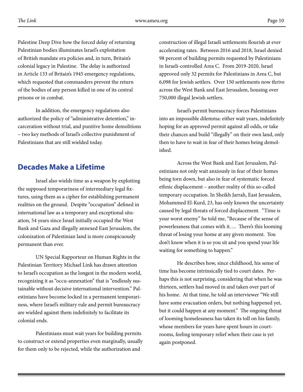Palestine Deep Dive how the forced delay of returning Palestinian bodies illuminates Israel's exploitation of British mandate era policies and, in turn, Britain's colonial legacy in Palestine. The delay is authorized in Article 133 of Britain's 1945 emergency regulations, which requested that commanders prevent the return of the bodies of any person killed in one of its central prisons or in combat.

In addition, the emergency regulations also authorized the policy of "administrative detention," incarceration without trial, and punitive home demolitions – two key methods of Israel's collective punishment of Palestinians that are still wielded today.

#### **Decades Make a Lifetime**

Israel also wields time as a weapon by exploiting the supposed temporariness of intermediary legal fixtures, using them as a cipher for establishing permanent realities on the ground. Despite "occupation" defined in international law as a temporary and exceptional situation, 54 years since Israel initially occupied the West Bank and Gaza and illegally annexed East Jerusalem, the colonization of Palestinian land is more conspicuously permanent than ever.

UN Special Rapporteur on Human Rights in the Palestinian Territory Michael Link has drawn attention to Israel's occupation as the longest in the modern world, recognizing it as "occu-annexation" that is "endlessly sustainable without decisive international intervention." Palestinians have become locked in a permanent temporariness, where Israel's military rule and permit bureaucracy are wielded against them indefinitely to facilitate its colonial ends.

Palestinians must wait years for building permits to construct or extend properties even marginally, usually for them only to be rejected, while the authorization and

construction of illegal Israeli settlements flourish at ever accelerating rates. Between 2016 and 2018, Israel denied 98 percent of building permits requested by Palestinians in Israeli-controlled Area C. From 2019-2020, Israel approved only 32 permits for Palestinians in Area C, but 6,098 for Jewish settlers. Over 150 settlements now thrive across the West Bank and East Jerusalem, housing over 750,000 illegal Jewish settlers.

Israel's permit bureaucracy forces Palestinians into an impossible dilemma: either wait years, indefinitely hoping for an approved permit against all odds, or take their chances and build "illegally" on their own land, only then to have to wait in fear of their homes being demolished.

Across the West Bank and East Jerusalem, Palestinians not only wait anxiously in fear of their homes being torn down, but also in fear of systematic forced ethnic displacement – another reality of this so-called temporary occupation. In Sheikh Jarrah, East Jerusalem, Mohammed El-Kurd, 23, has only known the uncertainty caused by legal threats of forced displacement. "Time is your worst enemy" he told me, "Because of the sense of powerlessness that comes with it…. There's this looming threat of losing your home at any given moment. You don't know when it is so you sit and you spend your life waiting for something to happen."

He describes how, since childhood, his sense of time has become intrinsically tied to court dates. Perhaps this is not surprising, considering that when he was thirteen, settlers had moved in and taken over part of his home. At that time, he told an interviewer "We still have some evacuation orders, but nothing happened yet, but it could happen at any moment." The ongoing threat of looming homelessness has taken its toll on his family, whose members for years have spent hours in courtrooms, feeling temporary relief when their case is yet again postponed.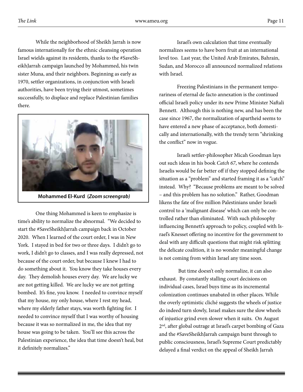While the neighborhood of Sheikh Jarrah is now famous internationally for the ethnic cleansing operation Israel wields against its residents, thanks to the #SaveSheikhJarrah campaign launched by Mohammed, his twin sister Muna, and their neighbors. Beginning as early as 1970, settler organizations, in conjunction with Israeli authorities, have been trying their utmost, sometimes successfully, to displace and replace Palestinian families there.



**Mohammed El-Kurd (***Zoom screengrab)*

One thing Mohammed is keen to emphasize is time's ability to normalize the abnormal. "We decided to start the #SaveSheikhJarrah campaign back in October 2020. When I learned of the court order, I was in New York. I stayed in bed for two or three days. I didn't go to work, I didn't go to classes, and I was really depressed, not because of the court order, but because I knew I had to do something about it. You know they take houses every day. They demolish houses every day. We are lucky we are not getting killed. We are lucky we are not getting bombed. It's fine, you know. I needed to convince myself that my house, my only house, where I rest my head, where my elderly father stays, was worth fighting for. I needed to convince myself that I was worthy of housing because it was so normalized in me, the idea that my house was going to be taken. You'll see this across the Palestinian experience, the idea that time doesn't heal, but it definitely normalizes."

Israel's own calculation that time eventually normalizes seems to have born fruit at an international level too. Last year, the United Arab Emirates, Bahrain, Sudan, and Morocco all announced normalized relations with Israel.

Freezing Palestinians in the permanent temporariness of eternal de facto annexation is the continued official Israeli policy under its new Prime Minister Naftali Bennett. Although this is nothing new, and has been the case since 1967, the normalization of apartheid seems to have entered a new phase of acceptance, both domestically and internationally, with the trendy term "shrinking the conflict" now in vogue.

Israeli settler-philosopher Micah Goodman lays out such ideas in his book *Catch 67*, where he contends Israelis would be far better off if they stopped defining the situation as a "problem" and started framing it as a "catch" instead. Why? "Because problems are meant to be solved – and this problem has no solution." Rather, Goodman likens the fate of five million Palestinians under Israeli control to a 'malignant disease' which can only be controlled rather than eliminated. With such philosophy influencing Bennett's approach to policy, coupled with Israel's Knesset offering no incentive for the government to deal with any difficult questions that might risk splitting the delicate coalition, it is no wonder meaningful change is not coming from within Israel any time soon.

 But time doesn't only normalize, it can also exhaust. By constantly stalling court decisions on individual cases, Israel buys time as its incremental colonization continues unabated in other places. While the overly optimistic cliché suggests the wheels of justice do indeed turn slowly, Israel makes sure the slow wheels of injustice grind even slower when it suits. On August 2<sup>nd</sup>, after global outrage at Israel's carpet bombing of Gaza and the #SaveSheikhJarrah campaign burst through to public consciousness, Israel's Supreme Court predictably delayed a final verdict on the appeal of Sheikh Jarrah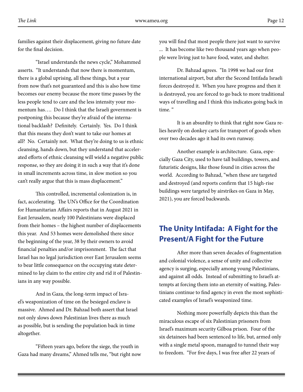families against their displacement, giving no future date for the final decision.

"Israel understands the news cycle," Mohammed asserts. "It understands that now there is momentum, there is a global uprising, all these things, but a year from now that's not guaranteed and this is also how time becomes our enemy because the more time passes by the less people tend to care and the less intensity your momentum has…. Do I think that the Israeli government is postponing this because they're afraid of the international backlash? Definitely. Certainly. Yes. Do I think that this means they don't want to take our homes at all? No. Certainly not. What they're doing to us is ethnic cleansing, hands down, but they understand that accelerated efforts of ethnic cleansing will wield a negative public response, so they are doing it in such a way that it's done in small increments across time, in slow motion so you can't really argue that this is mass displacement."

This controlled, incremental colonization is, in fact, accelerating. The UN's Office for the Coordination for Humanitarian Affairs reports that in August 2021 in East Jerusalem, nearly 100 Palestinians were displaced from their homes – the highest number of displacements this year. And 53 homes were demolished there since the beginning of the year, 38 by their owners to avoid financial penalties and/or imprisonment. The fact that Israel has no legal jurisdiction over East Jerusalem seems to bear little consequence on the occupying state determined to lay claim to the entire city and rid it of Palestinians in any way possible.

And in Gaza, the long-term impact of Israel's weaponization of time on the besieged enclave is massive. Ahmed and Dr. Bahzad both assert that Israel not only slows down Palestinian lives there as much as possible, but is sending the population back in time altogether.

"Fifteen years ago, before the siege, the youth in Gaza had many dreams," Ahmed tells me, "but right now you will find that most people there just want to survive ... It has become like two thousand years ago when people were living just to have food, water, and shelter.

Dr. Bahzad agrees. "In 1998 we had our first international airport, but after the Second Intifada Israeli forces destroyed it. When you have progress and then it is destroyed, you are forced to go back to more traditional ways of travelling and I think this indicates going back in time. "

It is an absurdity to think that right now Gaza relies heavily on donkey carts for transport of goods when over two decades ago it had its own runway.

Another example is architecture. Gaza, especially Gaza City, used to have tall buildings, towers, and futuristic designs, like those found in cities across the world. According to Bahzad, "when these are targeted and destroyed (and reports confirm that 15 high-rise buildings were targeted by airstrikes on Gaza in May, 2021), you are forced backwards.

## **The Unity Intifada: A Fight for the Present/A Fight for the Future**

After more than seven decades of fragmentation and colonial violence, a sense of unity and collective agency is surging, especially among young Palestinians, and against all odds. Instead of submitting to Israel's attempts at forcing them into an eternity of waiting, Palestinians continue to find agency in even the most sophisticated examples of Israel's weaponized time.

Nothing more powerfully depicts this than the miraculous escape of six Palestinian prisoners from Israel's maximum security Gilboa prison. Four of the six detainees had been sentenced to life, but, armed only with a single metal spoon, managed to tunnel their way to freedom. "For five days, I was free after 22 years of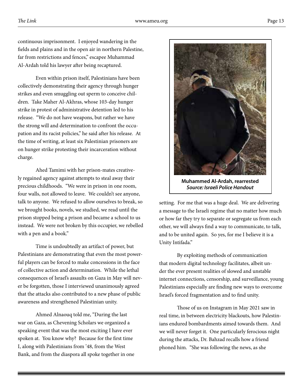continuous imprisonment. I enjoyed wandering in the fields and plains and in the open air in northern Palestine,

Even within prison itself, Palestinians have been collectively demonstrating their agency through hunger strikes and even smuggling out sperm to conceive children. Take Maher Al-Akhras, whose 103-day hunger strike in protest of administrative detention led to his release. "We do not have weapons, but rather we have the strong will and determination to confront the occupation and its racist policies," he said after his release. At the time of writing, at least six Palestinian prisoners are on hunger strike protesting their incarceration without charge.

far from restrictions and fences," escapee Muhammad

Al-Ardah told his lawyer after being recaptured.

Ahed Tamimi with her prison-mates creatively regained agency against attempts to steal away their precious childhoods. "We were in prison in one room, four walls, not allowed to leave. We couldn't see anyone, talk to anyone. We refused to allow ourselves to break, so we brought books, novels, we studied, we read until the prison stopped being a prison and became a school to us instead. We were not broken by this occupier, we rebelled with a pen and a book."

Time is undoubtedly an artifact of power, but Palestinians are demonstrating that even the most powerful players can be forced to make concessions in the face of collective action and determination. While the lethal consequences of Israel's assaults on Gaza in May will never be forgotten, those I interviewed unanimously agreed that the attacks also contributed to a new phase of public awareness and strengthened Palestinian unity.

Ahmed Alnaouq told me, "During the last war on Gaza, as Chevening Scholars we organized a speaking event that was the most exciting I have ever spoken at. You know why? Because for the first time I, along with Palestinians from '48, from the West Bank, and from the diaspora all spoke together in one



**Muhammed Al-Ardah, rearrested** *Source: Israeli Police Handout*

setting. For me that was a huge deal. We are delivering a message to the Israeli regime that no matter how much or how far they try to separate or segregate us from each other, we will always find a way to communicate, to talk, and to be united again. So yes, for me I believe it is a Unity Intifada."

By exploiting methods of communication that modern digital technology facilitates, albeit under the ever present realities of slowed and unstable internet connections, censorship, and surveillance, young Palestinians especially are finding new ways to overcome Israel's forced fragmentation and to find unity.

Those of us on Instagram in May 2021 saw in real time, in between electricity blackouts, how Palestinians endured bombardments aimed towards them. And we will never forget it. One particularly ferocious night during the attacks, Dr. Bahzad recalls how a friend phoned him. "She was following the news, as she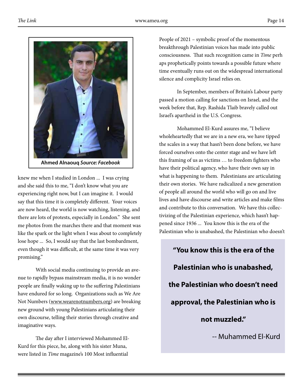$\overline{\phantom{a}}$ 



**Ahmed Alnaouq** *Source: Facebook*

knew me when I studied in London ... I was crying and she said this to me, "I don't know what you are experiencing right now, but I can imagine it. I would say that this time it is completely different. Your voices are now heard, the world is now watching, listening, and there are lots of protests, especially in London." She sent me photos from the marches there and that moment was like the spark or the light when I was about to completely lose hope ... So, I would say that the last bombardment, even though it was difficult, at the same time it was very promising."

With social media continuing to provide an avenue to rapidly bypass mainstream media, it is no wonder people are finally waking up to the suffering Palestinians have endured for so long. Organizations such as We Are Not Numbers (www.wearenotnumbers.org) are breaking new ground with young Palestinians articulating their own discourse, telling their stories through creative and imaginative ways.

The day after I interviewed Mohammed El-Kurd for this piece, he, along with his sister Muna, were listed in *Time* magazine's 100 Most influential

People of 2021 – symbolic proof of the momentous breakthrough Palestinian voices has made into public consciousness. That such recognition came in *Time* perh aps prophetically points towards a possible future where time eventually runs out on the widespread international silence and complicity Israel relies on.

In September, members of Britain's Labour party passed a motion calling for sanctions on Israel, and the week before that, Rep. Rashida Tlaib bravely called out Israel's apartheid in the U.S. Congress.

Mohammed El-Kurd assures me, "I believe wholeheartedly that we are in a new era, we have tipped the scales in a way that hasn't been done before, we have forced ourselves onto the center stage and we have left this framing of us as victims … to freedom fighters who have their political agency, who have their own say in what is happening to them. Palestinians are articulating their own stories. We have radicalized a new generation of people all around the world who will go on and live lives and have discourse and write articles and make films and contribute to this conversation. We have this collectivizing of the Palestinian experience, which hasn't happened since 1936 ... You know this is the era of the Palestinian who is unabashed, the Palestinian who doesn't

 **"You know this is the era of the Palestinian who is unabashed, the Palestinian who doesn't need approval, the Palestinian who is not muzzled."** -- Muhammed El-Kurd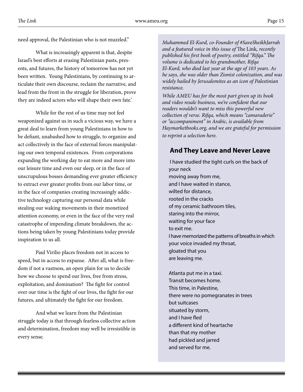need approval, the Palestinian who is not muzzled."

What is increasingly apparent is that, despite Israel's best efforts at erasing Palestinian pasts, presents, and futures, the history of tomorrow has not yet been written. Young Palestinians, by continuing to articulate their own discourse, reclaim the narrative, and lead from the front in the struggle for liberation, prove they are indeed actors who will shape their own fate.'

While for the rest of us time may not feel weaponized against us in such a vicious way, we have a great deal to learn from young Palestinians in how to be defiant, unabashed how to struggle, to organize and act collectively in the face of external forces manipulating our own temporal existences. From corporations expanding the working day to eat more and more into our leisure time and even our sleep, or in the face of unscrupulous bosses demanding ever greater efficiency to extract ever greater profits from our labor time, or in the face of companies creating increasingly addictive technology capturing our personal data while stealing our waking movements in their monetized attention economy, or even in the face of the very real catastrophe of impending climate breakdown, the actions being taken by young Palestinians today provide inspiration to us all.

Paul Virilio places freedom not in access to speed, but in access to expanse. After all, what is freedom if not a vastness, an open plain for us to decide how we choose to spend our lives, free from stress, exploitation, and domination? The fight for control over our time is the fight of our lives, the fight for our futures, and ultimately the fight for our freedom.

And what we learn from the Palestinian struggle today is that through fearless collective action and determination, freedom may well be irresistible in every sense.

*Muhammed El-Kurd, co-Founder of #SaveSheikhJarrah and a featured voice in this issue of* The Link*, recently published his first book of poetry, entitled "Rifqa." The volume is dedicated to his grandmother, Rifqa El-Kurd, who died last year at the age of 103 years. As he says, she was older than Zionist colonization, and was widely hailed by Jerusalemites as an icon of Palestinian resistance.* 

*While AMEU has for the most part given up its book and video resale business, we're confident that our readers wouldn't want to miss this powerful new collection of verse. Rifqa, which means "camaraderie" or "accompaniment" in Arabic, is available from Haymarketbooks.org, and we are grateful for permission to reprint a selection here.* 

#### **And They Leave and Never Leave**

 I have studied the tight curls on the back of your neck moving away from me, and I have waited in stance, wilted for distance, rooted in the cracks of my ceramic bathroom tiles, staring into the mirror, waiting for your face to exit me. I have memorized the patterns of breaths in which your voice invaded my throat, gloated that you are leaving me.

Atlanta put me in a taxi. Transit becomes home. This time, in Palestine, there were no pomegranates in trees but suitcases situated by storm, and I have fled a different kind of heartache than that my mother had pickled and jarred and served for me.